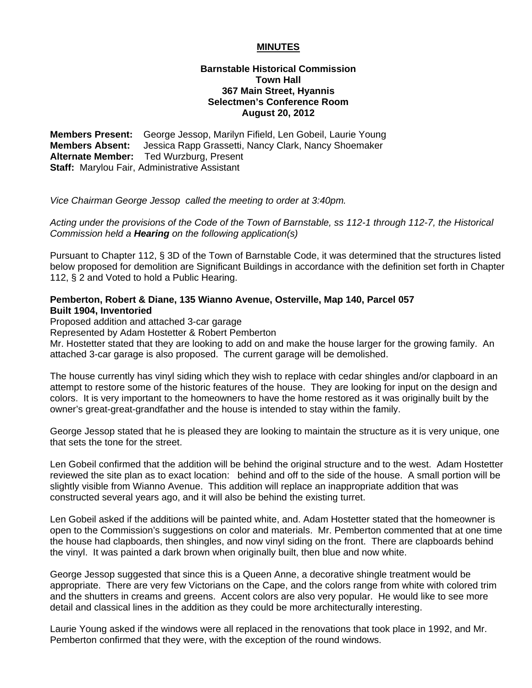## **MINUTES**

## **Barnstable Historical Commission Town Hall 367 Main Street, Hyannis Selectmen's Conference Room August 20, 2012**

**Members Present:** George Jessop, Marilyn Fifield, Len Gobeil, Laurie Young **Members Absent:** Jessica Rapp Grassetti, Nancy Clark, Nancy Shoemaker **Alternate Member:** Ted Wurzburg, Present **Staff:** Marylou Fair, Administrative Assistant

*Vice Chairman George Jessop called the meeting to order at 3:40pm.* 

*Acting under the provisions of the Code of the Town of Barnstable, ss 112-1 through 112-7, the Historical Commission held a Hearing on the following application(s)* 

Pursuant to Chapter 112, § 3D of the Town of Barnstable Code, it was determined that the structures listed below proposed for demolition are Significant Buildings in accordance with the definition set forth in Chapter 112, § 2 and Voted to hold a Public Hearing.

## **Pemberton, Robert & Diane, 135 Wianno Avenue, Osterville, Map 140, Parcel 057 Built 1904, Inventoried**

Proposed addition and attached 3-car garage

Represented by Adam Hostetter & Robert Pemberton

Mr. Hostetter stated that they are looking to add on and make the house larger for the growing family. An attached 3-car garage is also proposed. The current garage will be demolished.

The house currently has vinyl siding which they wish to replace with cedar shingles and/or clapboard in an attempt to restore some of the historic features of the house. They are looking for input on the design and colors. It is very important to the homeowners to have the home restored as it was originally built by the owner's great-great-grandfather and the house is intended to stay within the family.

George Jessop stated that he is pleased they are looking to maintain the structure as it is very unique, one that sets the tone for the street.

Len Gobeil confirmed that the addition will be behind the original structure and to the west. Adam Hostetter reviewed the site plan as to exact location: behind and off to the side of the house. A small portion will be slightly visible from Wianno Avenue. This addition will replace an inappropriate addition that was constructed several years ago, and it will also be behind the existing turret.

Len Gobeil asked if the additions will be painted white, and. Adam Hostetter stated that the homeowner is open to the Commission's suggestions on color and materials. Mr. Pemberton commented that at one time the house had clapboards, then shingles, and now vinyl siding on the front. There are clapboards behind the vinyl. It was painted a dark brown when originally built, then blue and now white.

George Jessop suggested that since this is a Queen Anne, a decorative shingle treatment would be appropriate. There are very few Victorians on the Cape, and the colors range from white with colored trim and the shutters in creams and greens. Accent colors are also very popular. He would like to see more detail and classical lines in the addition as they could be more architecturally interesting.

Laurie Young asked if the windows were all replaced in the renovations that took place in 1992, and Mr. Pemberton confirmed that they were, with the exception of the round windows.